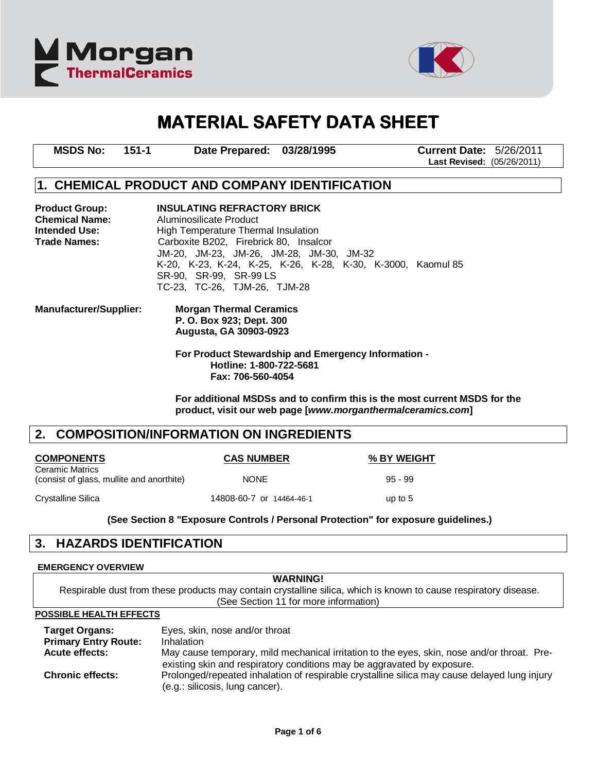



# MATERIAL SAFETY DATA SHEET

| <b>MSDS No:</b> | $151 - 1$ | Date Prepared: 03/28/1995 |  |
|-----------------|-----------|---------------------------|--|
|                 |           |                           |  |

**MSDS No: 151-1 Date Prepared: 03/28/1995 Current Date:** 5/26/2011 **Last Revised:** (05/26/2011)

# **1. CHEMICAL PRODUCT AND COMPANY IDENTIFICATION**

**Product Group: INSULATING REFRACTORY BRICK Chemical Name:** Aluminosilicate Product<br> **Intended Use:** High Temperature Them **High Temperature Thermal Insulation Trade Names:** Carboxite B202, Firebrick 80, Insalcor JM-20, JM-23, JM-26, JM-28, JM-30, JM-32 K-20, K-23, K-24, K-25, K-26, K-28, K-30, K-3000, Kaomul 85 SR-90, SR-99, SR-99 LS TC-23, TC-26, TJM-26, TJM-28

**Manufacturer/Supplier: Morgan Thermal Ceramics P. O. Box 923; Dept. 300 Augusta, GA 30903-0923**

> **For Product Stewardship and Emergency Information - Hotline: 1-800-722-5681 Fax: 706-560-4054**

**For additional MSDSs and to confirm this is the most current MSDS for the product, visit our web page [www.morganthermalceramics.com]** 

# **2. COMPOSITION/INFORMATION ON INGREDIENTS**

| <b>COMPONENTS</b>                                                   | <b>CAS NUMBER</b>        | % BY WEIGHT |
|---------------------------------------------------------------------|--------------------------|-------------|
| <b>Ceramic Matrics</b><br>(consist of glass, mullite and anorthite) | <b>NONE</b>              | $95 - 99$   |
| Crystalline Silica                                                  | 14808-60-7 or 14464-46-1 | up to $5$   |

 **(See Section 8 "Exposure Controls / Personal Protection" for exposure guidelines.)** 

# **3. HAZARDS IDENTIFICATION**

#### **EMERGENCY OVERVIEW**

**WARNING!**  Respirable dust from these products may contain crystalline silica, which is known to cause respiratory disease. (See Section 11 for more information)

#### **POSSIBLE HEALTH EFFECTS**

| <b>Target Organs:</b>       | Eyes, skin, nose and/or throat                                                               |
|-----------------------------|----------------------------------------------------------------------------------------------|
| <b>Primary Entry Route:</b> | Inhalation                                                                                   |
| <b>Acute effects:</b>       | May cause temporary, mild mechanical irritation to the eyes, skin, nose and/or throat. Pre-  |
|                             | existing skin and respiratory conditions may be aggravated by exposure.                      |
| <b>Chronic effects:</b>     | Prolonged/repeated inhalation of respirable crystalline silica may cause delayed lung injury |
|                             | (e.g.: silicosis, lung cancer).                                                              |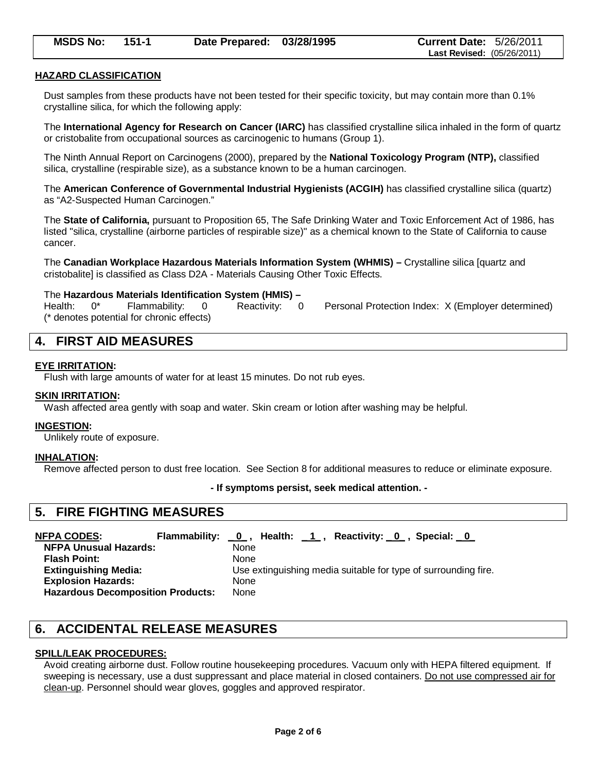#### **HAZARD CLASSIFICATION**

Dust samples from these products have not been tested for their specific toxicity, but may contain more than 0.1% crystalline silica, for which the following apply:

The **International Agency for Research on Cancer (IARC)** has classified crystalline silica inhaled in the form of quartz or cristobalite from occupational sources as carcinogenic to humans (Group 1).

The Ninth Annual Report on Carcinogens (2000), prepared by the **National Toxicology Program (NTP),** classified silica, crystalline (respirable size), as a substance known to be a human carcinogen.

The **American Conference of Governmental Industrial Hygienists (ACGIH)** has classified crystalline silica (quartz) as "A2-Suspected Human Carcinogen."

The **State of California,** pursuant to Proposition 65, The Safe Drinking Water and Toxic Enforcement Act of 1986, has listed "silica, crystalline (airborne particles of respirable size)" as a chemical known to the State of California to cause cancer.

The **Canadian Workplace Hazardous Materials Information System (WHMIS) –** Crystalline silica [quartz and cristobalite] is classified as Class D2A - Materials Causing Other Toxic Effects.

#### The **Hazardous Materials Identification System (HMIS) –**

Health: 0\* Flammability: 0 Reactivity: 0 Personal Protection Index: X (Employer determined) (\* denotes potential for chronic effects)

# **4. FIRST AID MEASURES**

#### **EYE IRRITATION:**

Flush with large amounts of water for at least 15 minutes. Do not rub eyes.

#### **SKIN IRRITATION:**

Wash affected area gently with soap and water. Skin cream or lotion after washing may be helpful.

#### **INGESTION:**

Unlikely route of exposure.

#### **INHALATION:**

Remove affected person to dust free location. See Section 8 for additional measures to reduce or eliminate exposure.

#### **- If symptoms persist, seek medical attention. -**

### **5. FIRE FIGHTING MEASURES**

| <b>NFPA CODES:</b><br>Flammability: 0,   | Health: 1, Reactivity: 0, Special: 0                           |
|------------------------------------------|----------------------------------------------------------------|
| <b>NFPA Unusual Hazards:</b>             | None                                                           |
| <b>Flash Point:</b>                      | None                                                           |
| <b>Extinguishing Media:</b>              | Use extinguishing media suitable for type of surrounding fire. |
| <b>Explosion Hazards:</b>                | None                                                           |
| <b>Hazardous Decomposition Products:</b> | None                                                           |

# **6. ACCIDENTAL RELEASE MEASURES**

#### **SPILL/LEAK PROCEDURES:**

Avoid creating airborne dust. Follow routine housekeeping procedures. Vacuum only with HEPA filtered equipment. If sweeping is necessary, use a dust suppressant and place material in closed containers. Do not use compressed air for clean-up. Personnel should wear gloves, goggles and approved respirator.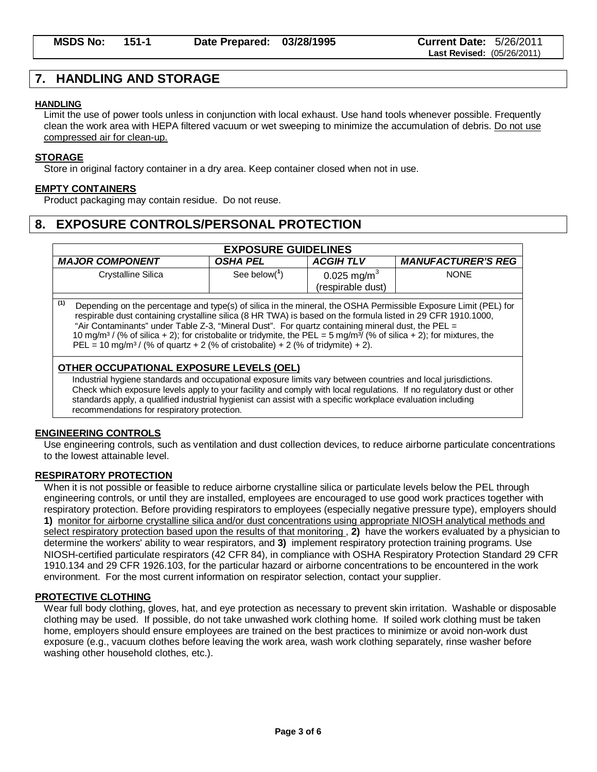**MSDS No: 151-1 Date Prepared: 03/28/1995 Current Date:** 5/26/2011

# **7. HANDLING AND STORAGE**

#### **HANDLING**

Limit the use of power tools unless in conjunction with local exhaust. Use hand tools whenever possible. Frequently clean the work area with HEPA filtered vacuum or wet sweeping to minimize the accumulation of debris. Do not use compressed air for clean-up.

#### **STORAGE**

Store in original factory container in a dry area. Keep container closed when not in use.

#### **EMPTY CONTAINERS**

Product packaging may contain residue. Do not reuse.

# **8. EXPOSURE CONTROLS/PERSONAL PROTECTION**

| <b>EXPOSURE GUIDELINES</b>                                                         |              |                                                |             |  |  |
|------------------------------------------------------------------------------------|--------------|------------------------------------------------|-------------|--|--|
| <b>MANUFACTURER'S REG</b><br><b>MAJOR COMPONENT</b><br>OSHA PEL<br><b>ACGIHTLV</b> |              |                                                |             |  |  |
| <b>Crystalline Silica</b>                                                          | See below(') | $0.025$ mg/m <sup>3</sup><br>(respirable dust) | <b>NONE</b> |  |  |

**(1)** Depending on the percentage and type(s) of silica in the mineral, the OSHA Permissible Exposure Limit (PEL) for respirable dust containing crystalline silica (8 HR TWA) is based on the formula listed in 29 CFR 1910.1000, "Air Contaminants" under Table Z-3, "Mineral Dust". For quartz containing mineral dust, the PEL = 10 mg/m<sup>3</sup> / (% of silica + 2); for cristobalite or tridymite, the PEL = 5 mg/m<sup>3</sup> (% of silica + 2); for mixtures, the PEL = 10 mg/m<sup>3</sup> / (% of quartz + 2 (% of cristobalite) + 2 (% of tridymite) + 2).

#### **OTHER OCCUPATIONAL EXPOSURE LEVELS (OEL)**

Industrial hygiene standards and occupational exposure limits vary between countries and local jurisdictions. Check which exposure levels apply to your facility and comply with local regulations. If no regulatory dust or other standards apply, a qualified industrial hygienist can assist with a specific workplace evaluation including recommendations for respiratory protection.

#### **ENGINEERING CONTROLS**

Use engineering controls, such as ventilation and dust collection devices, to reduce airborne particulate concentrations to the lowest attainable level.

#### **RESPIRATORY PROTECTION**

When it is not possible or feasible to reduce airborne crystalline silica or particulate levels below the PEL through engineering controls, or until they are installed, employees are encouraged to use good work practices together with respiratory protection. Before providing respirators to employees (especially negative pressure type), employers should **1)** monitor for airborne crystalline silica and/or dust concentrations using appropriate NIOSH analytical methods and select respiratory protection based upon the results of that monitoring , **2)** have the workers evaluated by a physician to determine the workers' ability to wear respirators, and **3)** implement respiratory protection training programs. Use NIOSH-certified particulate respirators (42 CFR 84), in compliance with OSHA Respiratory Protection Standard 29 CFR 1910.134 and 29 CFR 1926.103, for the particular hazard or airborne concentrations to be encountered in the work environment. For the most current information on respirator selection, contact your supplier.

#### **PROTECTIVE CLOTHING**

Wear full body clothing, gloves, hat, and eye protection as necessary to prevent skin irritation. Washable or disposable clothing may be used. If possible, do not take unwashed work clothing home. If soiled work clothing must be taken home, employers should ensure employees are trained on the best practices to minimize or avoid non-work dust exposure (e.g., vacuum clothes before leaving the work area, wash work clothing separately, rinse washer before washing other household clothes, etc.).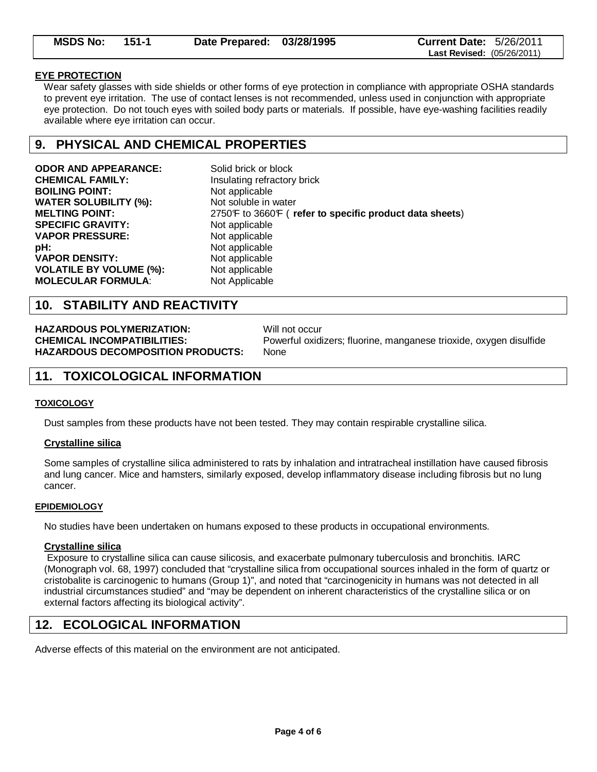| <b>MSDS No:</b> | 151-1 | Date Prepared: 03/28/1995 | <b>Current Date: 5/26/2011</b>    |
|-----------------|-------|---------------------------|-----------------------------------|
|                 |       |                           | <b>Last Revised:</b> (05/26/2011) |

#### **EYE PROTECTION**

Wear safety glasses with side shields or other forms of eye protection in compliance with appropriate OSHA standards to prevent eye irritation. The use of contact lenses is not recommended, unless used in conjunction with appropriate eye protection. Do not touch eyes with soiled body parts or materials. If possible, have eye-washing facilities readily available where eye irritation can occur.

# **9. PHYSICAL AND CHEMICAL PROPERTIES**

**ODOR AND APPEARANCE:** Solid brick or block **CHEMICAL FAMILY:** Insulating refractory brick **BOILING POINT:** Not applicable **WATER SOLUBILITY (%):** Not soluble in water **SPECIFIC GRAVITY:** Not applicable **VAPOR PRESSURE:** Not applicable **pH:** Not applicable **VAPOR DENSITY:** Not applicable **VOLATILE BY VOLUME (%):** Not applicable **MOLECULAR FORMULA:** Not Applicable

**MELTING POINT:** 2750°F to 3660°F ( **refer to specific product data sheets**)

# **10. STABILITY AND REACTIVITY**

**HAZARDOUS POLYMERIZATION:** Will not occur **HAZARDOUS DECOMPOSITION PRODUCTS:** None

**CHEMICAL INCOMPATIBILITIES:** Powerful oxidizers; fluorine, manganese trioxide, oxygen disulfide

### **11. TOXICOLOGICAL INFORMATION**

#### **TOXICOLOGY**

Dust samples from these products have not been tested. They may contain respirable crystalline silica.

#### **Crystalline silica**

Some samples of crystalline silica administered to rats by inhalation and intratracheal instillation have caused fibrosis and lung cancer. Mice and hamsters, similarly exposed, develop inflammatory disease including fibrosis but no lung cancer.

#### **EPIDEMIOLOGY**

No studies have been undertaken on humans exposed to these products in occupational environments.

#### **Crystalline silica**

 Exposure to crystalline silica can cause silicosis, and exacerbate pulmonary tuberculosis and bronchitis. IARC (Monograph vol. 68, 1997) concluded that "crystalline silica from occupational sources inhaled in the form of quartz or cristobalite is carcinogenic to humans (Group 1)", and noted that "carcinogenicity in humans was not detected in all industrial circumstances studied" and "may be dependent on inherent characteristics of the crystalline silica or on external factors affecting its biological activity".

# **12. ECOLOGICAL INFORMATION**

Adverse effects of this material on the environment are not anticipated.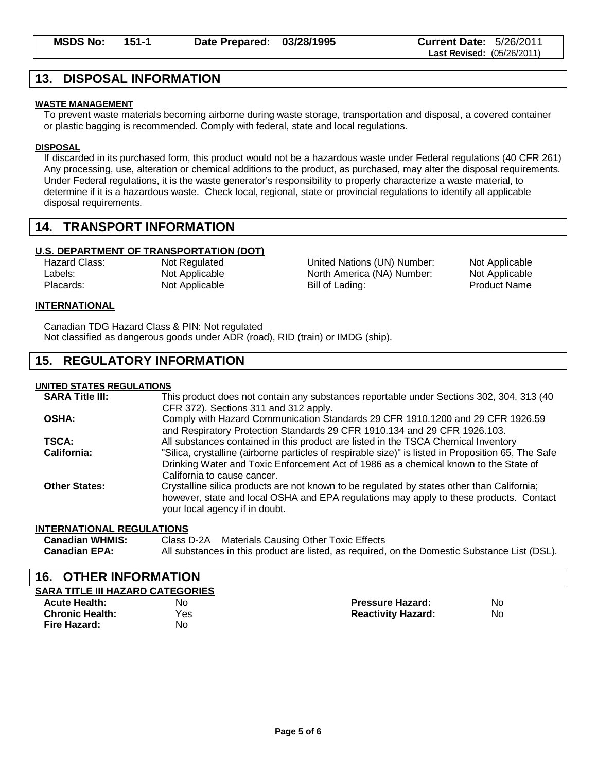# **13. DISPOSAL INFORMATION**

#### **WASTE MANAGEMENT**

To prevent waste materials becoming airborne during waste storage, transportation and disposal, a covered container or plastic bagging is recommended. Comply with federal, state and local regulations.

#### **DISPOSAL**

If discarded in its purchased form, this product would not be a hazardous waste under Federal regulations (40 CFR 261) Any processing, use, alteration or chemical additions to the product, as purchased, may alter the disposal requirements. Under Federal regulations, it is the waste generator's responsibility to properly characterize a waste material, to determine if it is a hazardous waste. Check local, regional, state or provincial regulations to identify all applicable disposal requirements.

# **14. TRANSPORT INFORMATION**

#### **U.S. DEPARTMENT OF TRANSPORTATION (DOT)**

Hazard Class: Not Regulated United Nations (UN) Number: Not Applicable Labels: Not Applicable Not Applicable North America (NA) Number: Not Applicable Placards: Not Applicable Bill of Lading: Placards: Product Name

#### **INTERNATIONAL**

Canadian TDG Hazard Class & PIN: Not regulated Not classified as dangerous goods under ADR (road), RID (train) or IMDG (ship).

# **15. REGULATORY INFORMATION**

#### **UNITED STATES REGULATIONS**

| <b>SARA Title III:</b> | This product does not contain any substances reportable under Sections 302, 304, 313 (40            |
|------------------------|-----------------------------------------------------------------------------------------------------|
|                        | CFR 372). Sections 311 and 312 apply.                                                               |
| <b>OSHA:</b>           | Comply with Hazard Communication Standards 29 CFR 1910.1200 and 29 CFR 1926.59                      |
|                        | and Respiratory Protection Standards 29 CFR 1910.134 and 29 CFR 1926.103.                           |
| TSCA:                  | All substances contained in this product are listed in the TSCA Chemical Inventory                  |
| <b>California:</b>     | "Silica, crystalline (airborne particles of respirable size)" is listed in Proposition 65, The Safe |
|                        | Drinking Water and Toxic Enforcement Act of 1986 as a chemical known to the State of                |
|                        | California to cause cancer.                                                                         |
| <b>Other States:</b>   | Crystalline silica products are not known to be regulated by states other than California;          |
|                        | however, state and local OSHA and EPA regulations may apply to these products. Contact              |
|                        | your local agency if in doubt.                                                                      |
|                        |                                                                                                     |

#### **INTERNATIONAL REGULATIONS**

| <b>Canadian WHMIS:</b> | Class D-2A Materials Causing Other Toxic Effects                                              |
|------------------------|-----------------------------------------------------------------------------------------------|
| <b>Canadian EPA:</b>   | All substances in this product are listed, as required, on the Domestic Substance List (DSL). |

|  | <b>16. OTHER INFORMATION</b> |  |
|--|------------------------------|--|
|--|------------------------------|--|

| <b>SARA TITLE III HAZARD CATEGORIES</b> |     |                           |    |  |
|-----------------------------------------|-----|---------------------------|----|--|
| <b>Acute Health:</b>                    | No  | <b>Pressure Hazard:</b>   | No |  |
| <b>Chronic Health:</b>                  | Yes | <b>Reactivity Hazard:</b> | No |  |
| Fire Hazard:                            | No  |                           |    |  |